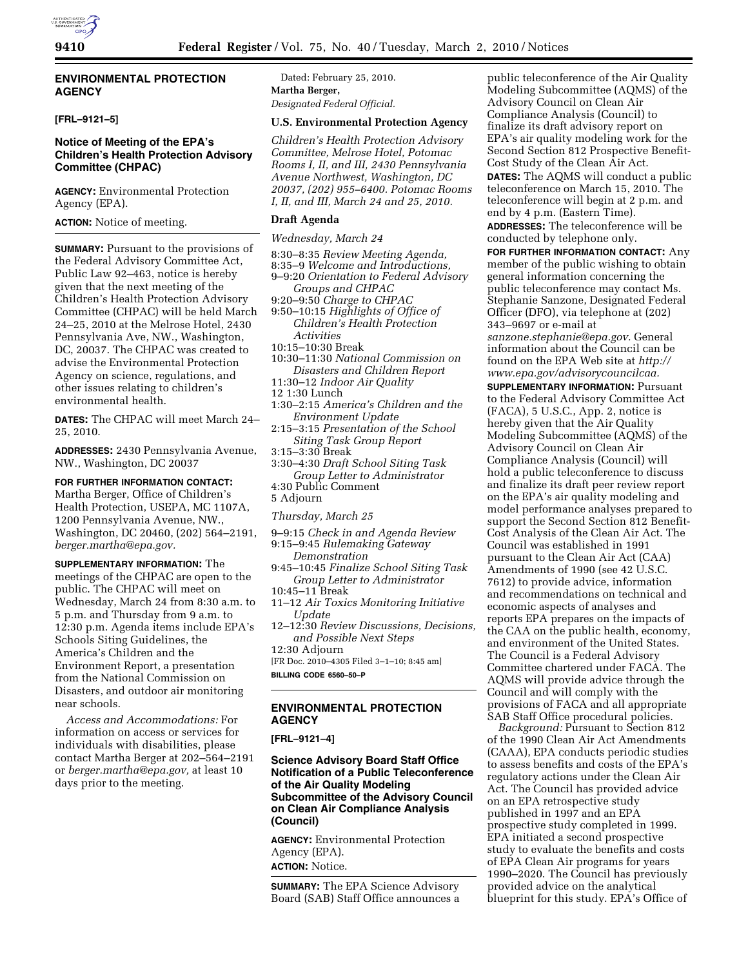# **ENVIRONMENTAL PROTECTION AGENCY**

**[FRL–9121–5]** 

# **Notice of Meeting of the EPA's Children's Health Protection Advisory Committee (CHPAC)**

**AGENCY:** Environmental Protection Agency (EPA).

**ACTION:** Notice of meeting.

**SUMMARY:** Pursuant to the provisions of the Federal Advisory Committee Act, Public Law 92–463, notice is hereby given that the next meeting of the Children's Health Protection Advisory Committee (CHPAC) will be held March 24–25, 2010 at the Melrose Hotel, 2430 Pennsylvania Ave, NW., Washington, DC, 20037. The CHPAC was created to advise the Environmental Protection Agency on science, regulations, and other issues relating to children's environmental health.

**DATES:** The CHPAC will meet March 24– 25, 2010.

**ADDRESSES:** 2430 Pennsylvania Avenue, NW., Washington, DC 20037

**FOR FURTHER INFORMATION CONTACT:**  Martha Berger, Office of Children's Health Protection, USEPA, MC 1107A, 1200 Pennsylvania Avenue, NW., Washington, DC 20460, (202) 564–2191, *berger.martha@epa.gov.* 

**SUPPLEMENTARY INFORMATION:** The meetings of the CHPAC are open to the public. The CHPAC will meet on Wednesday, March 24 from 8:30 a.m. to 5 p.m. and Thursday from 9 a.m. to 12:30 p.m. Agenda items include EPA's Schools Siting Guidelines, the America's Children and the Environment Report, a presentation from the National Commission on Disasters, and outdoor air monitoring near schools.

*Access and Accommodations:* For information on access or services for individuals with disabilities, please contact Martha Berger at 202–564–2191 or *berger.martha@epa.gov,* at least 10 days prior to the meeting.

Dated: February 25, 2010. **Martha Berger,**  *Designated Federal Official.* 

#### **U.S. Environmental Protection Agency**

*Children's Health Protection Advisory Committee, Melrose Hotel, Potomac Rooms I, II, and III, 2430 Pennsylvania Avenue Northwest, Washington, DC 20037, (202) 955–6400. Potomac Rooms I, II, and III, March 24 and 25, 2010.* 

### **Draft Agenda**

*Wednesday, March 24* 

- 8:30–8:35 *Review Meeting Agenda,*  8:35–9 *Welcome and Introductions,*
- 9–9:20 *Orientation to Federal Advisory Groups and CHPAC*
- 9:20–9:50 *Charge to CHPAC*
- 9:50–10:15 *Highlights of Office of Children's Health Protection Activities*
- 10:15–10:30 Break
- 10:30–11:30 *National Commission on Disasters and Children Report*
- 11:30–12 *Indoor Air Quality*
- 12 1:30 Lunch
- 1:30–2:15 *America's Children and the Environment Update*
- 2:15–3:15 *Presentation of the School Siting Task Group Report*
- 3:15–3:30 Break
- 3:30–4:30 *Draft School Siting Task Group Letter to Administrator*  4:30 Public Comment
- 5 Adjourn

#### *Thursday, March 25*

- 9–9:15 *Check in and Agenda Review*  9:15–9:45 *Rulemaking Gateway* 
	- *Demonstration*
- 9:45–10:45 *Finalize School Siting Task Group Letter to Administrator*  10:45–11 Break
- 
- 11–12 *Air Toxics Monitoring Initiative Update*
- 12–12:30 *Review Discussions, Decisions, and Possible Next Steps*  12:30 Adjourn
- [FR Doc. 2010–4305 Filed 3–1–10; 8:45 am]
- **BILLING CODE 6560–50–P**

### **ENVIRONMENTAL PROTECTION AGENCY**

**[FRL–9121–4]** 

**Science Advisory Board Staff Office Notification of a Public Teleconference of the Air Quality Modeling Subcommittee of the Advisory Council on Clean Air Compliance Analysis (Council)** 

**AGENCY:** Environmental Protection Agency (EPA). **ACTION:** Notice.

**SUMMARY:** The EPA Science Advisory Board (SAB) Staff Office announces a

public teleconference of the Air Quality Modeling Subcommittee (AQMS) of the Advisory Council on Clean Air Compliance Analysis (Council) to finalize its draft advisory report on EPA's air quality modeling work for the Second Section 812 Prospective Benefit-Cost Study of the Clean Air Act. **DATES:** The AQMS will conduct a public teleconference on March 15, 2010. The teleconference will begin at 2 p.m. and end by 4 p.m. (Eastern Time).

**ADDRESSES:** The teleconference will be conducted by telephone only.

**FOR FURTHER INFORMATION CONTACT:** Any member of the public wishing to obtain general information concerning the public teleconference may contact Ms. Stephanie Sanzone, Designated Federal Officer (DFO), via telephone at (202) 343–9697 or e-mail at *sanzone.stephanie@epa.gov.* General information about the Council can be found on the EPA Web site at *http://* 

*www.epa.gov/advisorycouncilcaa.*  **SUPPLEMENTARY INFORMATION: Pursuant** to the Federal Advisory Committee Act (FACA), 5 U.S.C., App. 2, notice is hereby given that the Air Quality Modeling Subcommittee (AQMS) of the Advisory Council on Clean Air Compliance Analysis (Council) will hold a public teleconference to discuss and finalize its draft peer review report on the EPA's air quality modeling and model performance analyses prepared to support the Second Section 812 Benefit-Cost Analysis of the Clean Air Act. The Council was established in 1991 pursuant to the Clean Air Act (CAA) Amendments of 1990 (see 42 U.S.C. 7612) to provide advice, information and recommendations on technical and economic aspects of analyses and reports EPA prepares on the impacts of the CAA on the public health, economy, and environment of the United States. The Council is a Federal Advisory Committee chartered under FACA. The AQMS will provide advice through the Council and will comply with the provisions of FACA and all appropriate SAB Staff Office procedural policies.

*Background:* Pursuant to Section 812 of the 1990 Clean Air Act Amendments (CAAA), EPA conducts periodic studies to assess benefits and costs of the EPA's regulatory actions under the Clean Air Act. The Council has provided advice on an EPA retrospective study published in 1997 and an EPA prospective study completed in 1999. EPA initiated a second prospective study to evaluate the benefits and costs of EPA Clean Air programs for years 1990–2020. The Council has previously provided advice on the analytical blueprint for this study. EPA's Office of